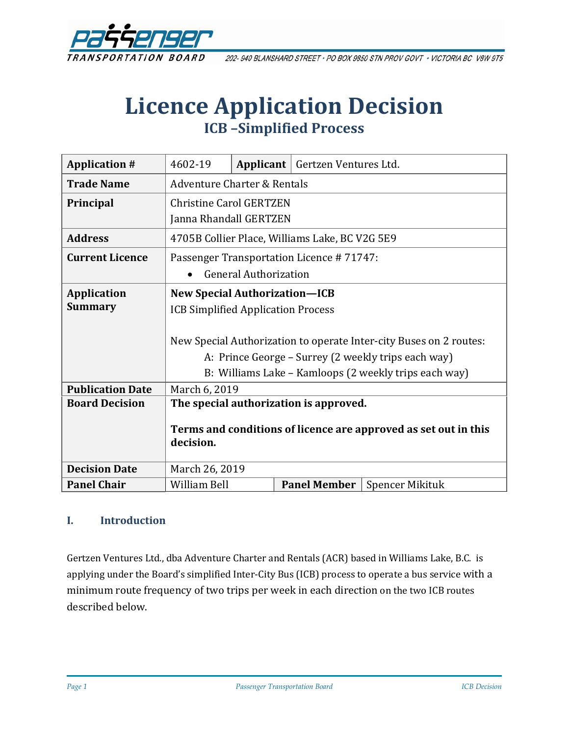

202-940 BLANSHARD STREET · PO BOX 9850 STN PROV GOVT · VICTORIA BC V8W 9T5

# **Licence Application Decision ICB –Simplified Process**

| <b>Application #</b>    | 4602-19                                                                      | Applicant | Gertzen Ventures Ltd. |                        |
|-------------------------|------------------------------------------------------------------------------|-----------|-----------------------|------------------------|
| <b>Trade Name</b>       | Adventure Charter & Rentals                                                  |           |                       |                        |
| Principal               | <b>Christine Carol GERTZEN</b>                                               |           |                       |                        |
|                         | Janna Rhandall GERTZEN                                                       |           |                       |                        |
| <b>Address</b>          | 4705B Collier Place, Williams Lake, BC V2G 5E9                               |           |                       |                        |
| <b>Current Licence</b>  | Passenger Transportation Licence #71747:                                     |           |                       |                        |
|                         | <b>General Authorization</b>                                                 |           |                       |                        |
| <b>Application</b>      | <b>New Special Authorization-ICB</b>                                         |           |                       |                        |
| <b>Summary</b>          | <b>ICB Simplified Application Process</b>                                    |           |                       |                        |
|                         |                                                                              |           |                       |                        |
|                         | New Special Authorization to operate Inter-city Buses on 2 routes:           |           |                       |                        |
|                         | A: Prince George - Surrey (2 weekly trips each way)                          |           |                       |                        |
|                         | B: Williams Lake – Kamloops (2 weekly trips each way)                        |           |                       |                        |
| <b>Publication Date</b> | March 6, 2019                                                                |           |                       |                        |
| <b>Board Decision</b>   | The special authorization is approved.                                       |           |                       |                        |
|                         |                                                                              |           |                       |                        |
|                         | Terms and conditions of licence are approved as set out in this<br>decision. |           |                       |                        |
|                         |                                                                              |           |                       |                        |
| <b>Decision Date</b>    | March 26, 2019                                                               |           |                       |                        |
| <b>Panel Chair</b>      | <b>William Bell</b>                                                          |           | <b>Panel Member</b>   | <b>Spencer Mikituk</b> |

#### **I. Introduction**

Gertzen Ventures Ltd., dba Adventure Charter and Rentals (ACR) based in Williams Lake, B.C. is applying under the Board's simplified Inter-City Bus (ICB) process to operate a bus service with a minimum route frequency of two trips per week in each direction on the two ICB routes described below.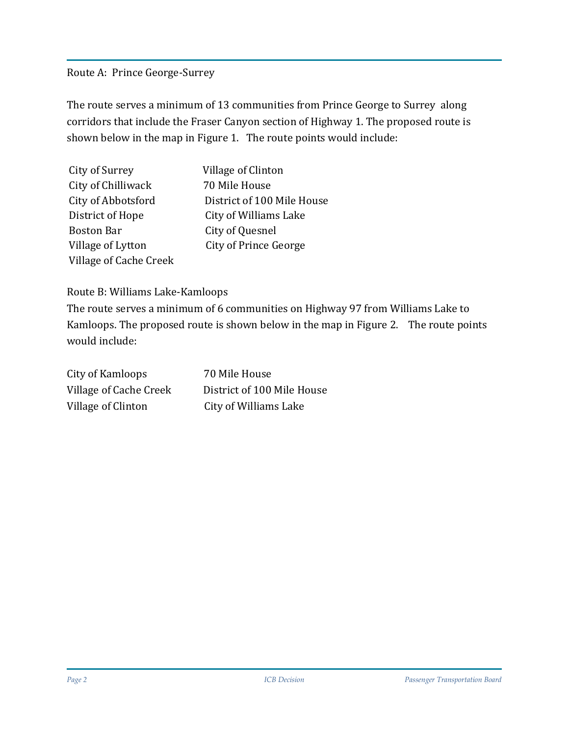#### Route A: Prince George-Surrey

The route serves a minimum of 13 communities from Prince George to Surrey along corridors that include the Fraser Canyon section of Highway 1. The proposed route is shown below in the map in Figure 1. The route points would include:

| City of Surrey         | Village of Clinton           |
|------------------------|------------------------------|
| City of Chilliwack     | 70 Mile House                |
| City of Abbotsford     | District of 100 Mile House   |
| District of Hope       | City of Williams Lake        |
| <b>Boston Bar</b>      | City of Quesnel              |
| Village of Lytton      | <b>City of Prince George</b> |
| Village of Cache Creek |                              |

#### Route B: Williams Lake-Kamloops

The route serves a minimum of 6 communities on Highway 97 from Williams Lake to Kamloops. The proposed route is shown below in the map in Figure 2. The route points would include:

| City of Kamloops       | 70 Mile House              |
|------------------------|----------------------------|
| Village of Cache Creek | District of 100 Mile House |
| Village of Clinton     | City of Williams Lake      |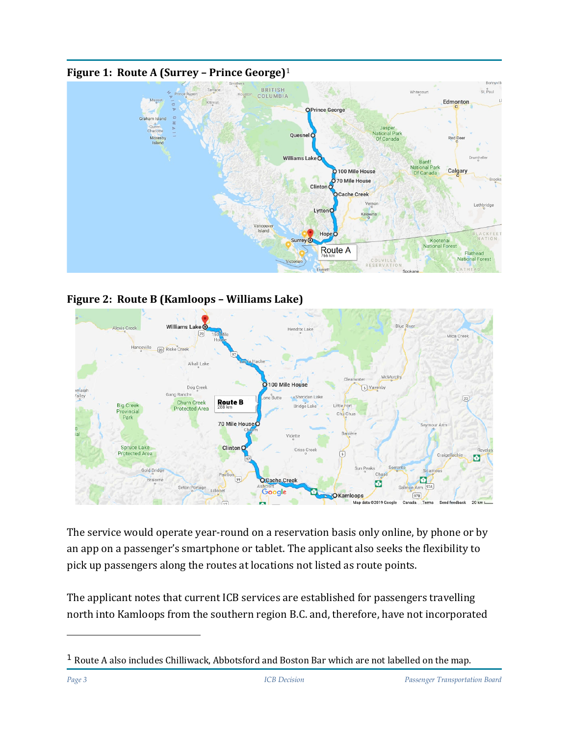

#### **Figure 1: Route A (Surrey – Prince George)**<sup>1</sup>





The service would operate year-round on a reservation basis only online, by phone or by an app on a passenger's smartphone or tablet. The applicant also seeks the flexibility to pick up passengers along the routes at locations not listed as route points.

The applicant notes that current ICB services are established for passengers travelling north into Kamloops from the southern region B.C. and, therefore, have not incorporated

ł

 $1$  Route A also includes Chilliwack, Abbotsford and Boston Bar which are not labelled on the map.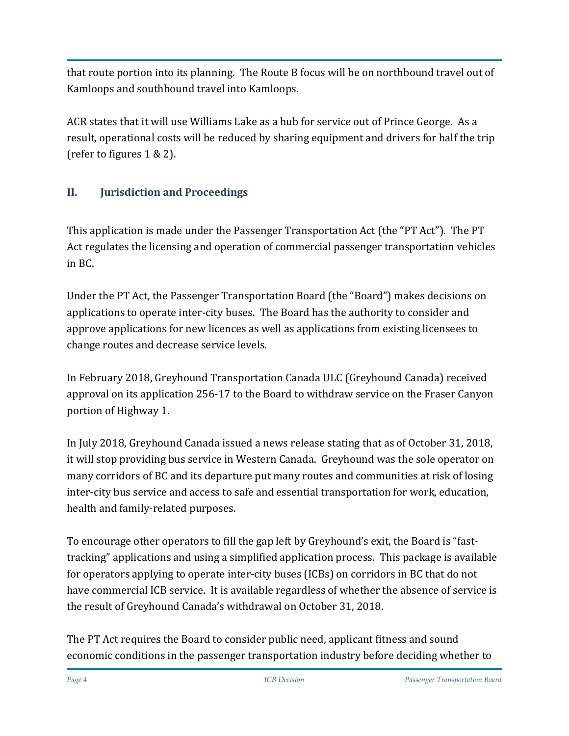that route portion into its planning. The Route B focus will be on northbound travel out of Kamloops and southbound travel into Kamloops.

ACR states that it will use Williams Lake as a hub for service out of Prince George. As a result, operational costs will be reduced by sharing equipment and drivers for half the trip (refer to figures 1 & 2).

# **II. Jurisdiction and Proceedings**

This application is made under the Passenger Transportation Act (the "PT Act"). The PT Act regulates the licensing and operation of commercial passenger transportation vehicles in BC.

Under the PT Act, the Passenger Transportation Board (the "Board") makes decisions on applications to operate inter-city buses. The Board has the authority to consider and approve applications for new licences as well as applications from existing licensees to change routes and decrease service levels.

In February 2018, Greyhound Transportation Canada ULC (Greyhound Canada) received approval on its application 256-17 to the Board to withdraw service on the Fraser Canyon portion of Highway 1.

In July 2018, Greyhound Canada issued a news release stating that as of October 31, 2018, it will stop providing bus service in Western Canada. Greyhound was the sole operator on many corridors of BC and its departure put many routes and communities at risk of losing inter-city bus service and access to safe and essential transportation for work, education, health and family-related purposes.

To encourage other operators to fill the gap left by Greyhound's exit, the Board is "fasttracking" applications and using a simplified application process. This package is available for operators applying to operate inter-city buses (ICBs) on corridors in BC that do not have commercial ICB service. It is available regardless of whether the absence of service is the result of Greyhound Canada's withdrawal on October 31, 2018.

The PT Act requires the Board to consider public need, applicant fitness and sound economic conditions in the passenger transportation industry before deciding whether to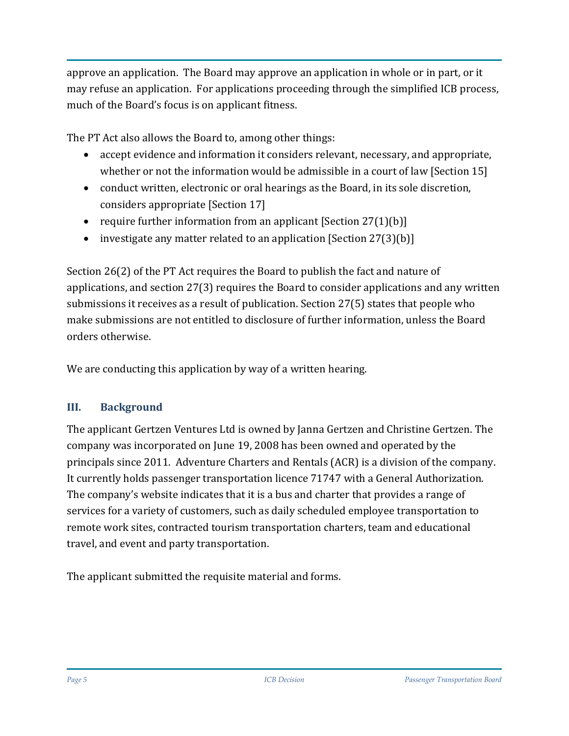approve an application. The Board may approve an application in whole or in part, or it may refuse an application. For applications proceeding through the simplified ICB process, much of the Board's focus is on applicant fitness.

The PT Act also allows the Board to, among other things:

- accept evidence and information it considers relevant, necessary, and appropriate, whether or not the information would be admissible in a court of law [Section 15]
- conduct written, electronic or oral hearings as the Board, in its sole discretion, considers appropriate [Section 17]
- require further information from an applicant [Section 27(1)(b)]
- investigate any matter related to an application [Section 27(3)(b)]

Section 26(2) of the PT Act requires the Board to publish the fact and nature of applications, and section 27(3) requires the Board to consider applications and any written submissions it receives as a result of publication. Section 27(5) states that people who make submissions are not entitled to disclosure of further information, unless the Board orders otherwise.

We are conducting this application by way of a written hearing.

#### **III. Background**

The applicant Gertzen Ventures Ltd is owned by Janna Gertzen and Christine Gertzen. The company was incorporated on June 19, 2008 has been owned and operated by the principals since 2011. Adventure Charters and Rentals (ACR) is a division of the company. It currently holds passenger transportation licence 71747 with a General Authorization. The company's website indicates that it is a bus and charter that provides a range of services for a variety of customers, such as daily scheduled employee transportation to remote work sites, contracted tourism transportation charters, team and educational travel, and event and party transportation.

The applicant submitted the requisite material and forms.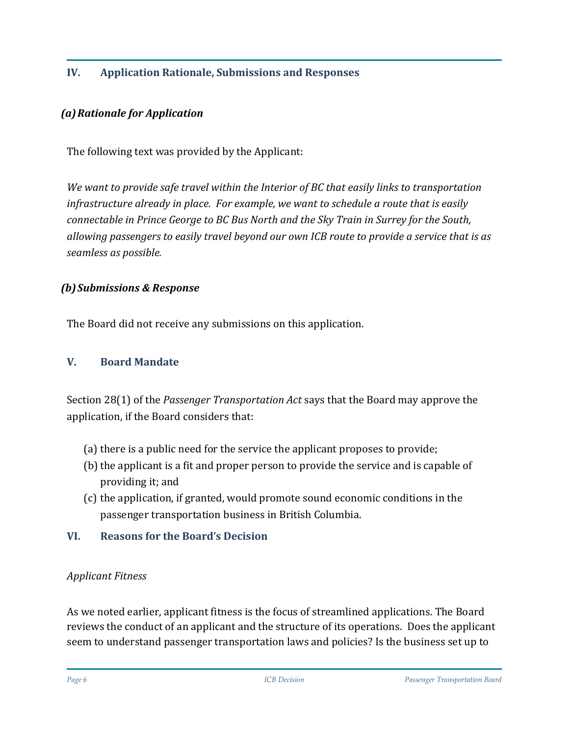## **IV. Application Rationale, Submissions and Responses**

#### *(a)Rationale for Application*

The following text was provided by the Applicant:

*We want to provide safe travel within the Interior of BC that easily links to transportation infrastructure already in place. For example, we want to schedule a route that is easily connectable in Prince George to BC Bus North and the Sky Train in Surrey for the South, allowing passengers to easily travel beyond our own ICB route to provide a service that is as seamless as possible.*

#### *(b)Submissions & Response*

The Board did not receive any submissions on this application.

#### **V. Board Mandate**

Section 28(1) of the *Passenger Transportation Act* says that the Board may approve the application, if the Board considers that:

- (a) there is a public need for the service the applicant proposes to provide;
- (b) the applicant is a fit and proper person to provide the service and is capable of providing it; and
- (c) the application, if granted, would promote sound economic conditions in the passenger transportation business in British Columbia.

#### **VI. Reasons for the Board's Decision**

#### *Applicant Fitness*

As we noted earlier, applicant fitness is the focus of streamlined applications. The Board reviews the conduct of an applicant and the structure of its operations. Does the applicant seem to understand passenger transportation laws and policies? Is the business set up to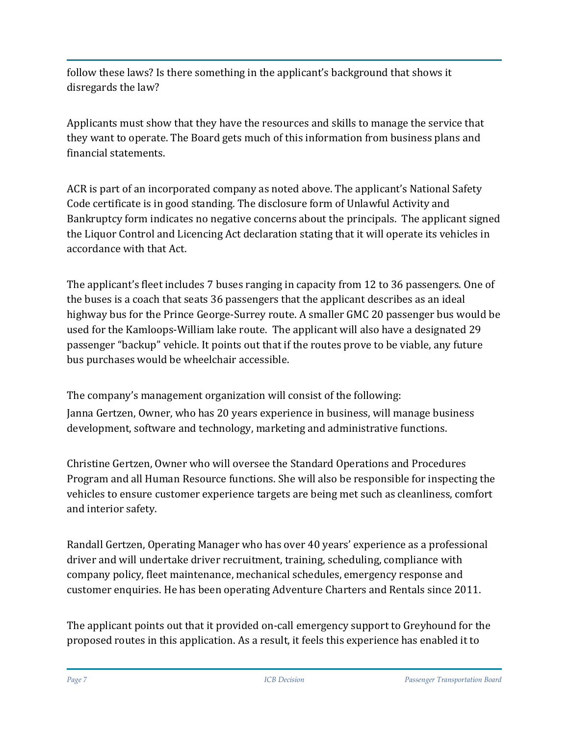follow these laws? Is there something in the applicant's background that shows it disregards the law?

Applicants must show that they have the resources and skills to manage the service that they want to operate. The Board gets much of this information from business plans and financial statements.

ACR is part of an incorporated company as noted above. The applicant's National Safety Code certificate is in good standing. The disclosure form of Unlawful Activity and Bankruptcy form indicates no negative concerns about the principals. The applicant signed the Liquor Control and Licencing Act declaration stating that it will operate its vehicles in accordance with that Act.

The applicant's fleet includes 7 buses ranging in capacity from 12 to 36 passengers. One of the buses is a coach that seats 36 passengers that the applicant describes as an ideal highway bus for the Prince George-Surrey route. A smaller GMC 20 passenger bus would be used for the Kamloops-William lake route. The applicant will also have a designated 29 passenger "backup" vehicle. It points out that if the routes prove to be viable, any future bus purchases would be wheelchair accessible.

The company's management organization will consist of the following: Janna Gertzen, Owner, who has 20 years experience in business, will manage business development, software and technology, marketing and administrative functions.

Christine Gertzen, Owner who will oversee the Standard Operations and Procedures Program and all Human Resource functions. She will also be responsible for inspecting the vehicles to ensure customer experience targets are being met such as cleanliness, comfort and interior safety.

Randall Gertzen, Operating Manager who has over 40 years' experience as a professional driver and will undertake driver recruitment, training, scheduling, compliance with company policy, fleet maintenance, mechanical schedules, emergency response and customer enquiries. He has been operating Adventure Charters and Rentals since 2011.

The applicant points out that it provided on-call emergency support to Greyhound for the proposed routes in this application. As a result, it feels this experience has enabled it to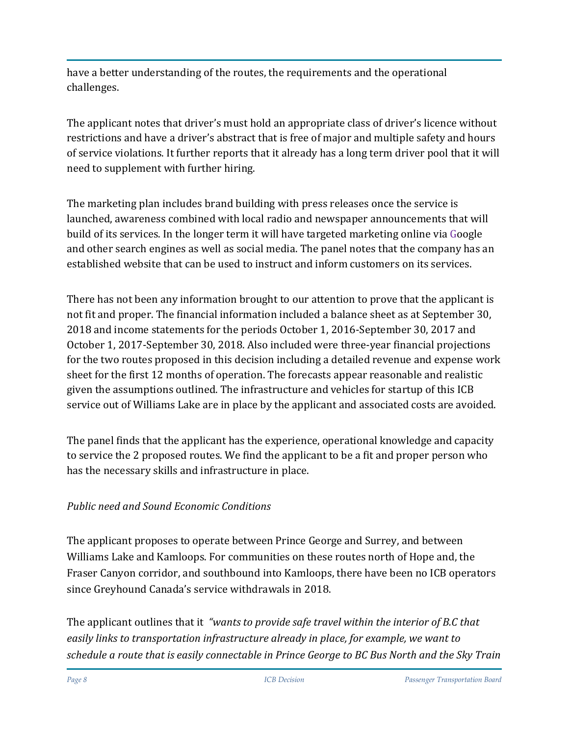have a better understanding of the routes, the requirements and the operational challenges.

The applicant notes that driver's must hold an appropriate class of driver's licence without restrictions and have a driver's abstract that is free of major and multiple safety and hours of service violations. It further reports that it already has a long term driver pool that it will need to supplement with further hiring.

The marketing plan includes brand building with press releases once the service is launched, awareness combined with local radio and newspaper announcements that will build of its services. In the longer term it will have targeted marketing online via Google and other search engines as well as social media. The panel notes that the company has an established website that can be used to instruct and inform customers on its services.

There has not been any information brought to our attention to prove that the applicant is not fit and proper. The financial information included a balance sheet as at September 30, 2018 and income statements for the periods October 1, 2016-September 30, 2017 and October 1, 2017-September 30, 2018. Also included were three-year financial projections for the two routes proposed in this decision including a detailed revenue and expense work sheet for the first 12 months of operation. The forecasts appear reasonable and realistic given the assumptions outlined. The infrastructure and vehicles for startup of this ICB service out of Williams Lake are in place by the applicant and associated costs are avoided.

The panel finds that the applicant has the experience, operational knowledge and capacity to service the 2 proposed routes. We find the applicant to be a fit and proper person who has the necessary skills and infrastructure in place.

## *Public need and Sound Economic Conditions*

The applicant proposes to operate between Prince George and Surrey, and between Williams Lake and Kamloops. For communities on these routes north of Hope and, the Fraser Canyon corridor, and southbound into Kamloops, there have been no ICB operators since Greyhound Canada's service withdrawals in 2018.

The applicant outlines that it *"wants to provide safe travel within the interior of B.C that easily links to transportation infrastructure already in place, for example, we want to schedule a route that is easily connectable in Prince George to BC Bus North and the Sky Train*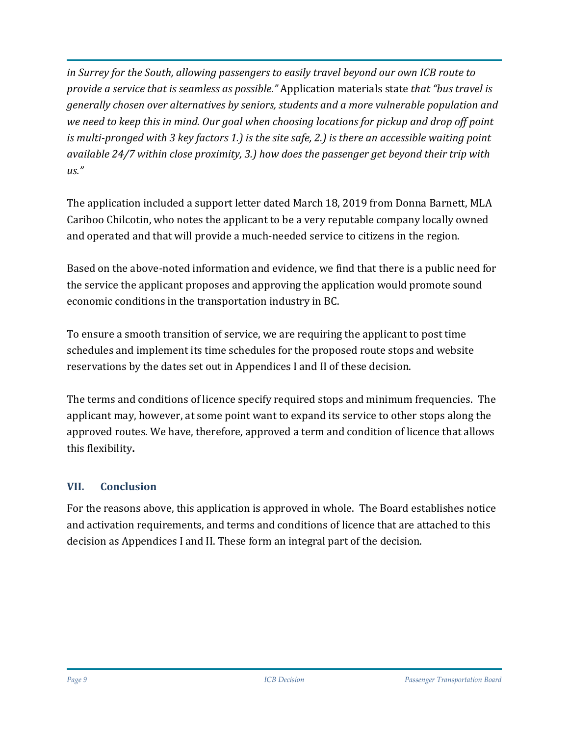*in Surrey for the South, allowing passengers to easily travel beyond our own ICB route to provide a service that is seamless as possible."* Application materials state *that "bus travel is generally chosen over alternatives by seniors, students and a more vulnerable population and we need to keep this in mind. Our goal when choosing locations for pickup and drop off point is multi-pronged with 3 key factors 1.) is the site safe, 2.) is there an accessible waiting point available 24/7 within close proximity, 3.) how does the passenger get beyond their trip with us."*

The application included a support letter dated March 18, 2019 from Donna Barnett, MLA Cariboo Chilcotin, who notes the applicant to be a very reputable company locally owned and operated and that will provide a much-needed service to citizens in the region.

Based on the above-noted information and evidence, we find that there is a public need for the service the applicant proposes and approving the application would promote sound economic conditions in the transportation industry in BC.

To ensure a smooth transition of service, we are requiring the applicant to post time schedules and implement its time schedules for the proposed route stops and website reservations by the dates set out in Appendices I and II of these decision.

The terms and conditions of licence specify required stops and minimum frequencies. The applicant may, however, at some point want to expand its service to other stops along the approved routes. We have, therefore, approved a term and condition of licence that allows this flexibility**.**

## **VII. Conclusion**

For the reasons above, this application is approved in whole. The Board establishes notice and activation requirements, and terms and conditions of licence that are attached to this decision as Appendices I and II. These form an integral part of the decision.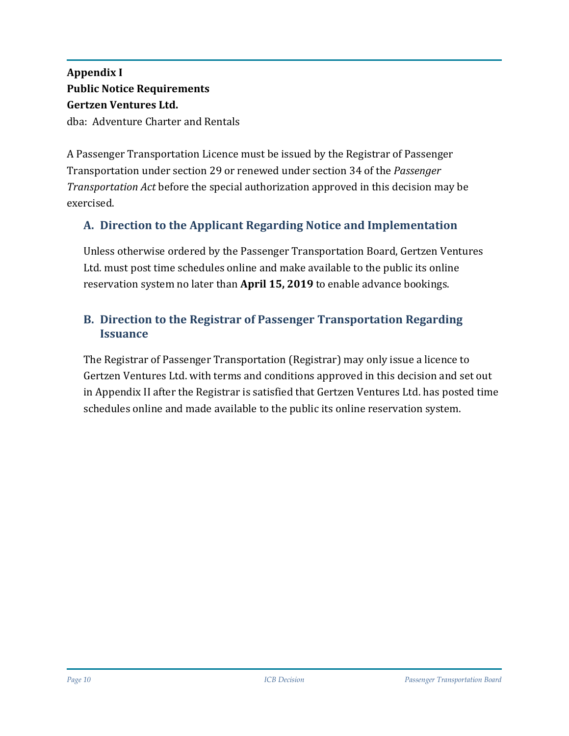# **Appendix I Public Notice Requirements Gertzen Ventures Ltd.** dba: Adventure Charter and Rentals

A Passenger Transportation Licence must be issued by the Registrar of Passenger Transportation under section 29 or renewed under section 34 of the *Passenger Transportation Act* before the special authorization approved in this decision may be exercised.

# **A. Direction to the Applicant Regarding Notice and Implementation**

Unless otherwise ordered by the Passenger Transportation Board, Gertzen Ventures Ltd. must post time schedules online and make available to the public its online reservation system no later than **April 15, 2019** to enable advance bookings.

### **B. Direction to the Registrar of Passenger Transportation Regarding Issuance**

The Registrar of Passenger Transportation (Registrar) may only issue a licence to Gertzen Ventures Ltd. with terms and conditions approved in this decision and set out in Appendix II after the Registrar is satisfied that Gertzen Ventures Ltd. has posted time schedules online and made available to the public its online reservation system.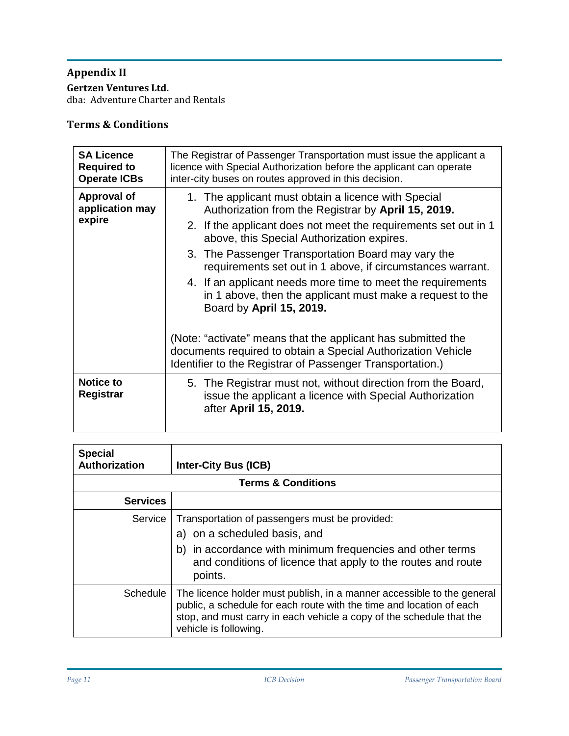#### **Appendix II**

**Gertzen Ventures Ltd.** 

dba: Adventure Charter and Rentals

# **Terms & Conditions**

| <b>SA Licence</b><br><b>Required to</b><br><b>Operate ICBs</b> | The Registrar of Passenger Transportation must issue the applicant a<br>licence with Special Authorization before the applicant can operate<br>inter-city buses on routes approved in this decision.                                                                                                                                                                                                                                                                                                                                                                                                                                                                                                 |  |  |
|----------------------------------------------------------------|------------------------------------------------------------------------------------------------------------------------------------------------------------------------------------------------------------------------------------------------------------------------------------------------------------------------------------------------------------------------------------------------------------------------------------------------------------------------------------------------------------------------------------------------------------------------------------------------------------------------------------------------------------------------------------------------------|--|--|
| Approval of<br>application may<br>expire                       | 1. The applicant must obtain a licence with Special<br>Authorization from the Registrar by April 15, 2019.<br>2. If the applicant does not meet the requirements set out in 1<br>above, this Special Authorization expires.<br>3. The Passenger Transportation Board may vary the<br>requirements set out in 1 above, if circumstances warrant.<br>4. If an applicant needs more time to meet the requirements<br>in 1 above, then the applicant must make a request to the<br>Board by April 15, 2019.<br>(Note: "activate" means that the applicant has submitted the<br>documents required to obtain a Special Authorization Vehicle<br>Identifier to the Registrar of Passenger Transportation.) |  |  |
| <b>Notice to</b><br>Registrar                                  | 5. The Registrar must not, without direction from the Board,<br>issue the applicant a licence with Special Authorization<br>after April 15, 2019.                                                                                                                                                                                                                                                                                                                                                                                                                                                                                                                                                    |  |  |

| <b>Special</b><br>Authorization | <b>Inter-City Bus (ICB)</b>                                                                                                                                                                                                                     |  |  |
|---------------------------------|-------------------------------------------------------------------------------------------------------------------------------------------------------------------------------------------------------------------------------------------------|--|--|
| <b>Terms &amp; Conditions</b>   |                                                                                                                                                                                                                                                 |  |  |
| <b>Services</b>                 |                                                                                                                                                                                                                                                 |  |  |
| Service                         | Transportation of passengers must be provided:<br>a) on a scheduled basis, and<br>b) in accordance with minimum frequencies and other terms<br>and conditions of licence that apply to the routes and route<br>points.                          |  |  |
| Schedule                        | The licence holder must publish, in a manner accessible to the general<br>public, a schedule for each route with the time and location of each<br>stop, and must carry in each vehicle a copy of the schedule that the<br>vehicle is following. |  |  |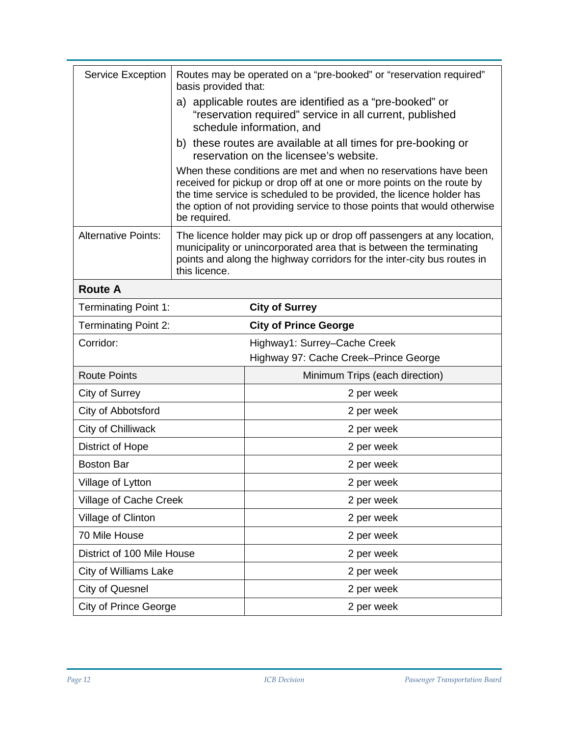| <b>Service Exception</b>     | Routes may be operated on a "pre-booked" or "reservation required"<br>basis provided that:                                                                                                                                                                                                                    |                                                                       |  |
|------------------------------|---------------------------------------------------------------------------------------------------------------------------------------------------------------------------------------------------------------------------------------------------------------------------------------------------------------|-----------------------------------------------------------------------|--|
|                              | a) applicable routes are identified as a "pre-booked" or<br>"reservation required" service in all current, published<br>schedule information, and                                                                                                                                                             |                                                                       |  |
|                              | b) these routes are available at all times for pre-booking or<br>reservation on the licensee's website.                                                                                                                                                                                                       |                                                                       |  |
|                              | When these conditions are met and when no reservations have been<br>received for pickup or drop off at one or more points on the route by<br>the time service is scheduled to be provided, the licence holder has<br>the option of not providing service to those points that would otherwise<br>be required. |                                                                       |  |
| <b>Alternative Points:</b>   | The licence holder may pick up or drop off passengers at any location,<br>municipality or unincorporated area that is between the terminating<br>points and along the highway corridors for the inter-city bus routes in<br>this licence.                                                                     |                                                                       |  |
| <b>Route A</b>               |                                                                                                                                                                                                                                                                                                               |                                                                       |  |
| <b>Terminating Point 1:</b>  |                                                                                                                                                                                                                                                                                                               | <b>City of Surrey</b>                                                 |  |
| <b>Terminating Point 2:</b>  |                                                                                                                                                                                                                                                                                                               | <b>City of Prince George</b>                                          |  |
| Corridor:                    |                                                                                                                                                                                                                                                                                                               | Highway1: Surrey-Cache Creek<br>Highway 97: Cache Creek-Prince George |  |
| <b>Route Points</b>          |                                                                                                                                                                                                                                                                                                               | Minimum Trips (each direction)                                        |  |
| City of Surrey               |                                                                                                                                                                                                                                                                                                               | 2 per week                                                            |  |
| City of Abbotsford           |                                                                                                                                                                                                                                                                                                               | 2 per week                                                            |  |
| City of Chilliwack           |                                                                                                                                                                                                                                                                                                               | 2 per week                                                            |  |
| <b>District of Hope</b>      |                                                                                                                                                                                                                                                                                                               | 2 per week                                                            |  |
| <b>Boston Bar</b>            |                                                                                                                                                                                                                                                                                                               | 2 per week                                                            |  |
| Village of Lytton            |                                                                                                                                                                                                                                                                                                               | 2 per week                                                            |  |
| Village of Cache Creek       |                                                                                                                                                                                                                                                                                                               | 2 per week                                                            |  |
| Village of Clinton           |                                                                                                                                                                                                                                                                                                               | 2 per week                                                            |  |
| 70 Mile House                |                                                                                                                                                                                                                                                                                                               | 2 per week                                                            |  |
| District of 100 Mile House   |                                                                                                                                                                                                                                                                                                               | 2 per week                                                            |  |
| <b>City of Williams Lake</b> |                                                                                                                                                                                                                                                                                                               | 2 per week                                                            |  |
| <b>City of Quesnel</b>       |                                                                                                                                                                                                                                                                                                               | 2 per week                                                            |  |
| <b>City of Prince George</b> |                                                                                                                                                                                                                                                                                                               | 2 per week                                                            |  |